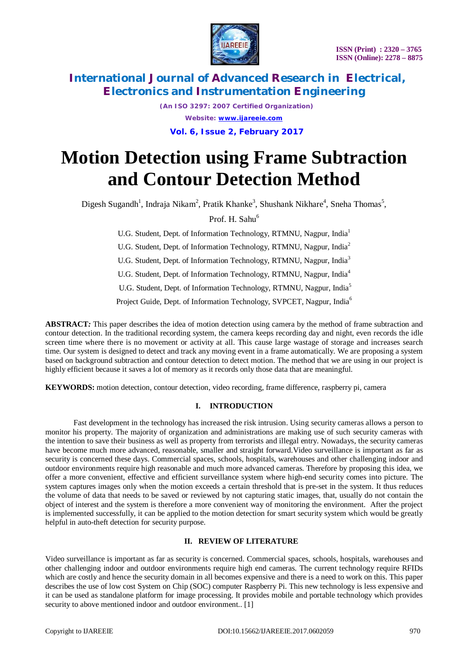

*(An ISO 3297: 2007 Certified Organization) Website: [www.ijareeie.com](http://www.ijareeie.com)*

#### **Vol. 6, Issue 2, February 2017**

# **Motion Detection using Frame Subtraction and Contour Detection Method**

Digesh Sugandh<sup>1</sup>, Indraja Nikam<sup>2</sup>, Pratik Khanke<sup>3</sup>, Shushank Nikhare<sup>4</sup>, Sneha Thomas<sup>5</sup>,

Prof. H. Sahu<sup>6</sup>

U.G. Student, Dept. of Information Technology, RTMNU, Nagpur, India<sup>1</sup> U.G. Student, Dept. of Information Technology, RTMNU, Nagpur, India<sup>2</sup> U.G. Student, Dept. of Information Technology, RTMNU, Nagpur, India<sup>3</sup> U.G. Student, Dept. of Information Technology, RTMNU, Nagpur, India<sup>4</sup> U.G. Student, Dept. of Information Technology, RTMNU, Nagpur, India<sup>5</sup> Project Guide, Dept. of Information Technology, SVPCET, Nagpur, India<sup>6</sup>

**ABSTRACT***:* This paper describes the idea of motion detection using camera by the method of frame subtraction and contour detection. In the traditional recording system, the camera keeps recording day and night, even records the idle screen time where there is no movement or activity at all. This cause large wastage of storage and increases search time. Our system is designed to detect and track any moving event in a frame automatically. We are proposing a system based on background subtraction and contour detection to detect motion. The method that we are using in our project is highly efficient because it saves a lot of memory as it records only those data that are meaningful.

**KEYWORDS:** motion detection, contour detection, video recording, frame difference, raspberry pi, camera

#### **I. INTRODUCTION**

Fast development in the technology has increased the risk intrusion. Using security cameras allows a person to monitor his property. The majority of organization and administrations are making use of such security cameras with the intention to save their business as well as property from terrorists and illegal entry. Nowadays, the security cameras have become much more advanced, reasonable, smaller and straight forward.Video surveillance is important as far as security is concerned these days. Commercial spaces, schools, hospitals, warehouses and other challenging indoor and outdoor environments require high reasonable and much more advanced cameras. Therefore by proposing this idea, we offer a more convenient, effective and efficient surveillance system where high-end security comes into picture. The system captures images only when the motion exceeds a certain threshold that is pre-set in the system. It thus reduces the volume of data that needs to be saved or reviewed by not capturing static images, that, usually do not contain the object of interest and the system is therefore a more convenient way of monitoring the environment. After the project is implemented successfully, it can be applied to the motion detection for smart security system which would be greatly helpful in auto-theft detection for security purpose.

#### **II. REVIEW OF LITERATURE**

Video surveillance is important as far as security is concerned. Commercial spaces, schools, hospitals, warehouses and other challenging indoor and outdoor environments require high end cameras. The current technology require RFIDs which are costly and hence the security domain in all becomes expensive and there is a need to work on this. This paper describes the use of low cost System on Chip (SOC) computer Raspberry Pi. This new technology is less expensive and it can be used as standalone platform for image processing. It provides mobile and portable technology which provides security to above mentioned indoor and outdoor environment.. [1]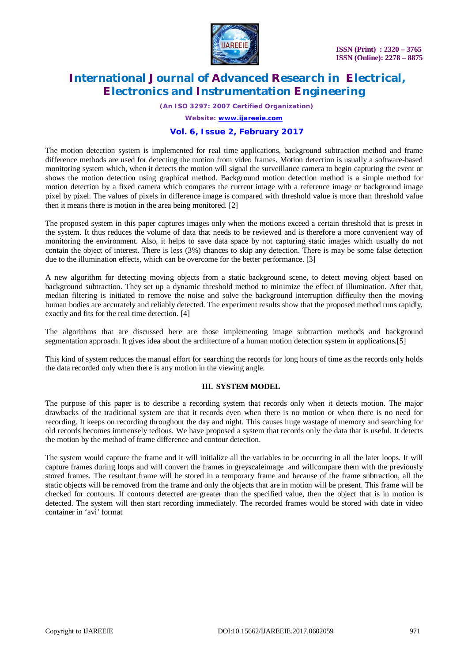

*(An ISO 3297: 2007 Certified Organization)*

*Website: [www.ijareeie.com](http://www.ijareeie.com)*

#### **Vol. 6, Issue 2, February 2017**

The motion detection system is implemented for real time applications, background subtraction method and frame difference methods are used for detecting the motion from video frames. Motion detection is usually a software-based monitoring system which, when it detects the motion will signal the surveillance camera to begin capturing the event or shows the motion detection using graphical method. Background motion detection method is a simple method for motion detection by a fixed camera which compares the current image with a reference image or background image pixel by pixel. The values of pixels in difference image is compared with threshold value is more than threshold value then it means there is motion in the area being monitored. [2]

The proposed system in this paper captures images only when the motions exceed a certain threshold that is preset in the system. It thus reduces the volume of data that needs to be reviewed and is therefore a more convenient way of monitoring the environment. Also, it helps to save data space by not capturing static images which usually do not contain the object of interest. There is less (3%) chances to skip any detection. There is may be some false detection due to the illumination effects, which can be overcome for the better performance. [3]

A new algorithm for detecting moving objects from a static background scene, to detect moving object based on background subtraction. They set up a dynamic threshold method to minimize the effect of illumination. After that, median filtering is initiated to remove the noise and solve the background interruption difficulty then the moving human bodies are accurately and reliably detected. The experiment results show that the proposed method runs rapidly, exactly and fits for the real time detection. [4]

The algorithms that are discussed here are those implementing image subtraction methods and background segmentation approach. It gives idea about the architecture of a human motion detection system in applications.[5]

This kind of system reduces the manual effort for searching the records for long hours of time as the records only holds the data recorded only when there is any motion in the viewing angle.

#### **III. SYSTEM MODEL**

The purpose of this paper is to describe a recording system that records only when it detects motion. The major drawbacks of the traditional system are that it records even when there is no motion or when there is no need for recording. It keeps on recording throughout the day and night. This causes huge wastage of memory and searching for old records becomes immensely tedious. We have proposed a system that records only the data that is useful. It detects the motion by the method of frame difference and contour detection.

The system would capture the frame and it will initialize all the variables to be occurring in all the later loops. It will capture frames during loops and will convert the frames in greyscaleimage and willcompare them with the previously stored frames. The resultant frame will be stored in a temporary frame and because of the frame subtraction, all the static objects will be removed from the frame and only the objects that are in motion will be present. This frame will be checked for contours. If contours detected are greater than the specified value, then the object that is in motion is detected. The system will then start recording immediately. The recorded frames would be stored with date in video container in 'avi' format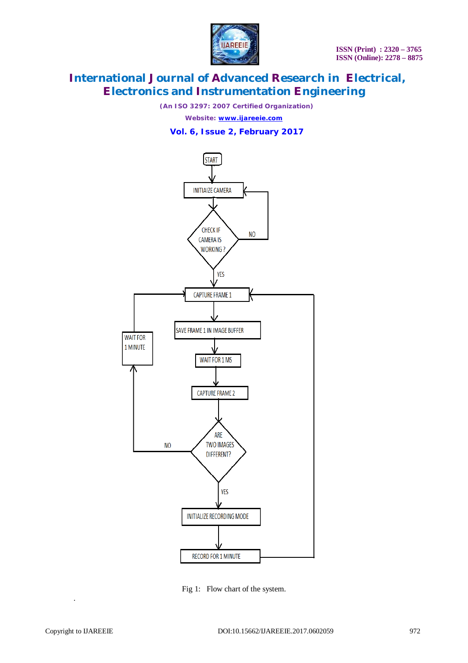

*(An ISO 3297: 2007 Certified Organization)*

*Website: [www.ijareeie.com](http://www.ijareeie.com)*

#### **Vol. 6, Issue 2, February 2017**



Fig 1: Flow chart of the system.

.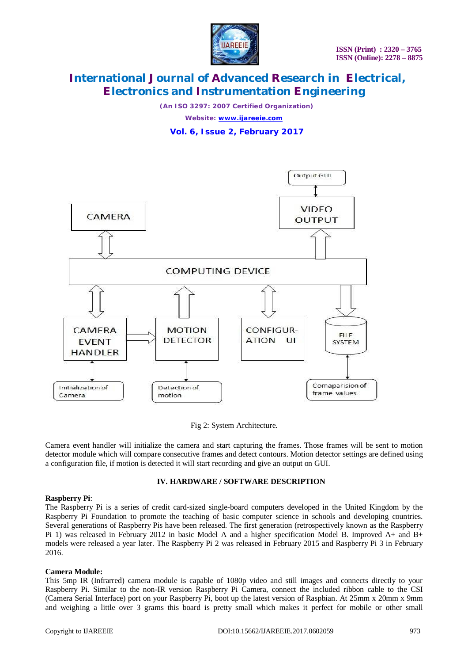

*(An ISO 3297: 2007 Certified Organization) Website: [www.ijareeie.com](http://www.ijareeie.com)*

**Vol. 6, Issue 2, February 2017**



Fig 2: System Architecture.

Camera event handler will initialize the camera and start capturing the frames. Those frames will be sent to motion detector module which will compare consecutive frames and detect contours. Motion detector settings are defined using a configuration file, if motion is detected it will start recording and give an output on GUI.

#### **IV. HARDWARE / SOFTWARE DESCRIPTION**

#### **Raspberry Pi**:

The Raspberry Pi is a series of credit card-sized single-board computers developed in the United Kingdom by the Raspberry Pi Foundation to promote the teaching of basic computer science in schools and developing countries. Several generations of Raspberry Pis have been released. The first generation (retrospectively known as the Raspberry Pi 1) was released in February 2012 in basic Model A and a higher specification Model B. Improved A+ and B+ models were released a year later. The Raspberry Pi 2 was released in February 2015 and Raspberry Pi 3 in February 2016.

#### **Camera Module:**

This 5mp IR (Infrarred) camera module is capable of 1080p video and still images and connects directly to your Raspberry Pi. Similar to the non-IR version Raspberry Pi Camera, connect the included ribbon cable to the CSI (Camera Serial Interface) port on your Raspberry Pi, boot up the latest version of Raspbian. At 25mm x 20mm x 9mm and weighing a little over 3 grams this board is pretty small which makes it perfect for mobile or other small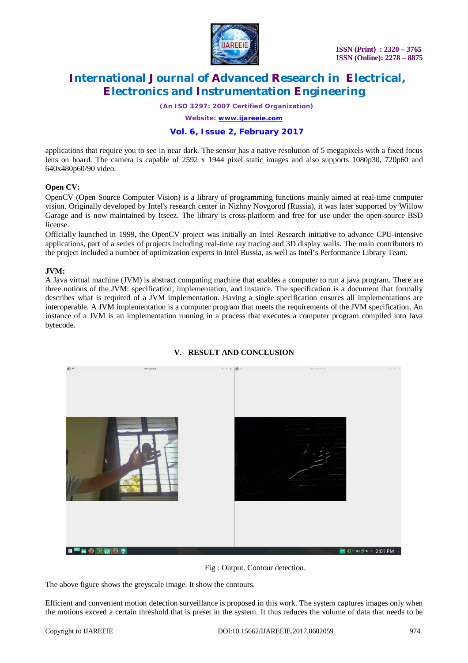

 **ISSN (Print) : 2320 – 3765 ISSN (Online): 2278 – 8875**

# **International Journal of Advanced Research in Electrical, Electronics and Instrumentation Engineering**

*(An ISO 3297: 2007 Certified Organization)*

*Website: [www.ijareeie.com](http://www.ijareeie.com)*

#### **Vol. 6, Issue 2, February 2017**

applications that require you to see in near dark. The sensor has a native resolution of 5 megapixels with a fixed focus lens on board. The camera is capable of 2592 x 1944 pixel static images and also supports 1080p30, 720p60 and 640x480p60/90 video.

#### **Open CV:**

OpenCV (Open Source Computer Vision) is a library of programming functions mainly aimed at real-time computer vision. Originally developed by Intel's research center in Nizhny Novgorod (Russia), it was later supported by Willow Garage and is now maintained by Itseez. The library is cross-platform and free for use under the open-source BSD license.

Officially launched in 1999, the OpenCV project was initially an Intel Research initiative to advance CPU-intensive applications, part of a series of projects including real-time ray tracing and 3D display walls. The main contributors to the project included a number of optimization experts in Intel Russia, as well as Intel's Performance Library Team.

#### **JVM:**

A Java virtual machine (JVM) is abstract computing machine that enables a computer to run a java program. There are three notions of the JVM: specification, implementation, and instance. The specification is a document that formally describes what is required of a JVM implementation. Having a single specification ensures all implementations are interoperable. A JVM implementation is a computer program that meets the requirements of the JVM specification. An instance of a JVM is an implementation running in a process that executes a computer program compiled into Java bytecode.



#### **V. RESULT AND CONCLUSION**

Fig : Output. Contour detection.

The above figure shows the greyscale image. It show the contours.

Efficient and convenient motion detection surveillance is proposed in this work. The system captures images only when the motions exceed a certain threshold that is preset in the system. It thus reduces the volume of data that needs to be